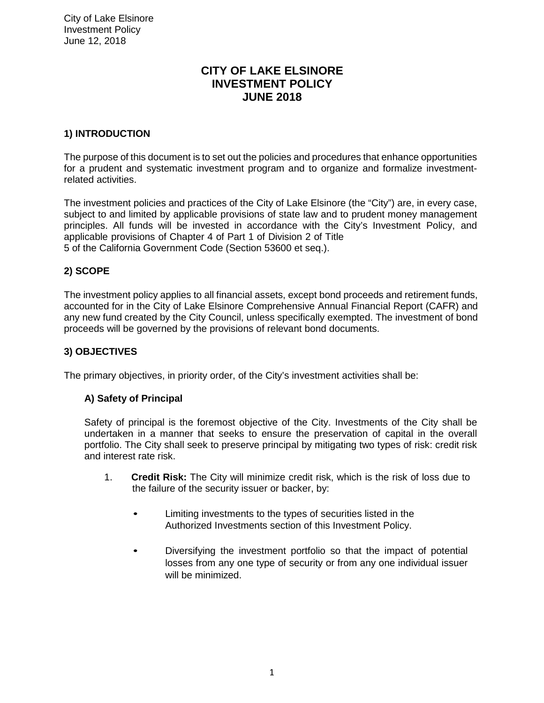# **CITY OF LAKE ELSINORE INVESTMENT POLICY JUNE 2018**

# **1) INTRODUCTION**

The purpose of this document is to set out the policies and procedures that enhance opportunities for a prudent and systematic investment program and to organize and formalize investmentrelated activities.

The investment policies and practices of the City of Lake Elsinore (the "City") are, in every case, subject to and limited by applicable provisions of state law and to prudent money management principles. All funds will be invested in accordance with the City's Investment Policy, and applicable provisions of Chapter 4 of Part 1 of Division 2 of Title 5 of the California Government Code (Section 53600 et seq.).

## **2) SCOPE**

The investment policy applies to all financial assets, except bond proceeds and retirement funds, accounted for in the City of Lake Elsinore Comprehensive Annual Financial Report (CAFR) and any new fund created by the City Council, unless specifically exempted. The investment of bond proceeds will be governed by the provisions of relevant bond documents.

## **3) OBJECTIVES**

The primary objectives, in priority order, of the City's investment activities shall be:

## **A) Safety of Principal**

Safety of principal is the foremost objective of the City. Investments of the City shall be undertaken in a manner that seeks to ensure the preservation of capital in the overall portfolio. The City shall seek to preserve principal by mitigating two types of risk: credit risk and interest rate risk.

- 1. **Credit Risk:** The City will minimize credit risk, which is the risk of loss due to the failure of the security issuer or backer, by:
	- Limiting investments to the types of securities listed in the Authorized Investments section of this Investment Policy.
	- Diversifying the investment portfolio so that the impact of potential losses from any one type of security or from any one individual issuer will be minimized.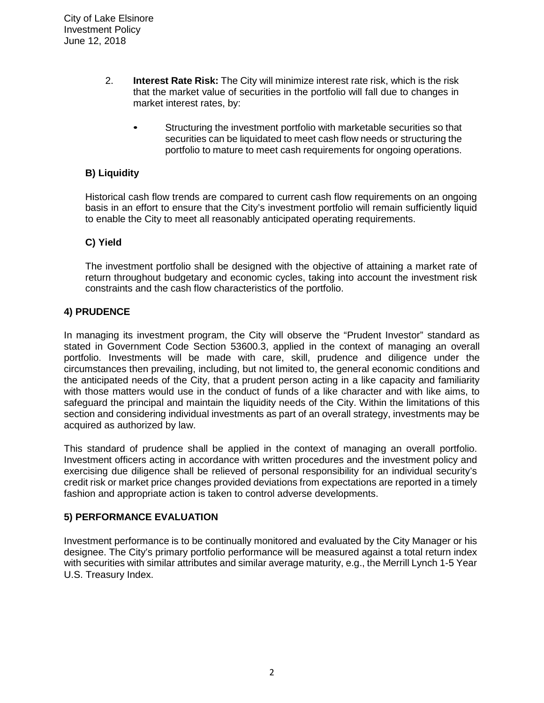- 2. **Interest Rate Risk:** The City will minimize interest rate risk, which is the risk that the market value of securities in the portfolio will fall due to changes in market interest rates, by:
	- Structuring the investment portfolio with marketable securities so that securities can be liquidated to meet cash flow needs or structuring the portfolio to mature to meet cash requirements for ongoing operations.

## **B) Liquidity**

Historical cash flow trends are compared to current cash flow requirements on an ongoing basis in an effort to ensure that the City's investment portfolio will remain sufficiently liquid to enable the City to meet all reasonably anticipated operating requirements.

## **C) Yield**

The investment portfolio shall be designed with the objective of attaining a market rate of return throughout budgetary and economic cycles, taking into account the investment risk constraints and the cash flow characteristics of the portfolio.

## **4) PRUDENCE**

In managing its investment program, the City will observe the "Prudent Investor" standard as stated in Government Code Section 53600.3, applied in the context of managing an overall portfolio. Investments will be made with care, skill, prudence and diligence under the circumstances then prevailing, including, but not limited to, the general economic conditions and the anticipated needs of the City, that a prudent person acting in a like capacity and familiarity with those matters would use in the conduct of funds of a like character and with like aims, to safeguard the principal and maintain the liquidity needs of the City. Within the limitations of this section and considering individual investments as part of an overall strategy, investments may be acquired as authorized by law.

This standard of prudence shall be applied in the context of managing an overall portfolio. Investment officers acting in accordance with written procedures and the investment policy and exercising due diligence shall be relieved of personal responsibility for an individual security's credit risk or market price changes provided deviations from expectations are reported in a timely fashion and appropriate action is taken to control adverse developments.

## **5) PERFORMANCE EVALUATION**

Investment performance is to be continually monitored and evaluated by the City Manager or his designee. The City's primary portfolio performance will be measured against a total return index with securities with similar attributes and similar average maturity, e.g., the Merrill Lynch 1-5 Year U.S. Treasury Index.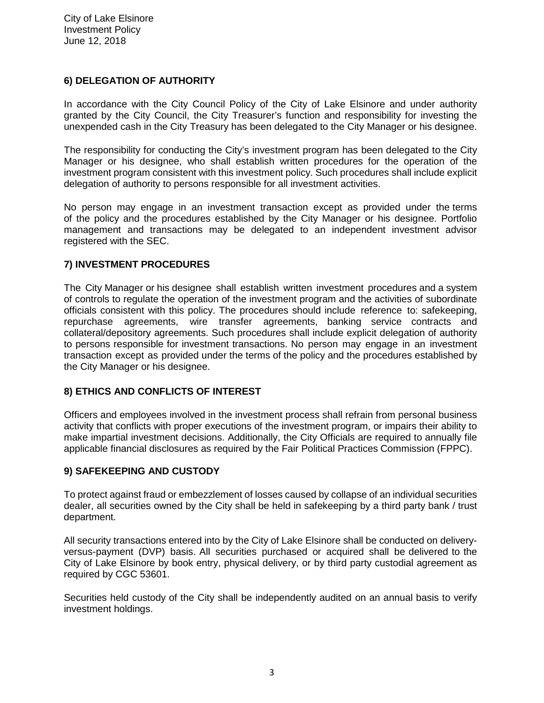## **6) DELEGATION OF AUTHORITY**

In accordance with the City Council Policy of the City of Lake Elsinore and under authority granted by the City Council, the City Treasurer's function and responsibility for investing the unexpended cash in the City Treasury has been delegated to the City Manager or his designee.

The responsibility for conducting the City's investment program has been delegated to the City Manager or his designee, who shall establish written procedures for the operation of the investment program consistent with this investment policy. Such procedures shall include explicit delegation of authority to persons responsible for all investment activities.

No person may engage in an investment transaction except as provided under the terms of the policy and the procedures established by the City Manager or his designee. Portfolio management and transactions may be delegated to an independent investment advisor registered with the SEC.

## **7) INVESTMENT PROCEDURES**

The City Manager or his designee shall establish written investment procedures and a system of controls to regulate the operation of the investment program and the activities of subordinate officials consistent with this policy. The procedures should include reference to: safekeeping, repurchase agreements, wire transfer agreements, banking service contracts and collateral/depository agreements. Such procedures shall include explicit delegation of authority to persons responsible for investment transactions. No person may engage in an investment transaction except as provided under the terms of the policy and the procedures established by the City Manager or his designee.

## **8) ETHICS AND CONFLICTS OF INTEREST**

Officers and employees involved in the investment process shall refrain from personal business activity that conflicts with proper executions of the investment program, or impairs their ability to make impartial investment decisions. Additionally, the City Officials are required to annually file applicable financial disclosures as required by the Fair Political Practices Commission (FPPC).

## **9) SAFEKEEPING AND CUSTODY**

To protect against fraud or embezzlement of losses caused by collapse of an individual securities dealer, all securities owned by the City shall be held in safekeeping by a third party bank / trust department.

All security transactions entered into by the City of Lake Elsinore shall be conducted on deliveryversus-payment (DVP) basis. All securities purchased or acquired shall be delivered to the City of Lake Elsinore by book entry, physical delivery, or by third party custodial agreement as required by CGC 53601.

Securities held custody of the City shall be independently audited on an annual basis to verify investment holdings.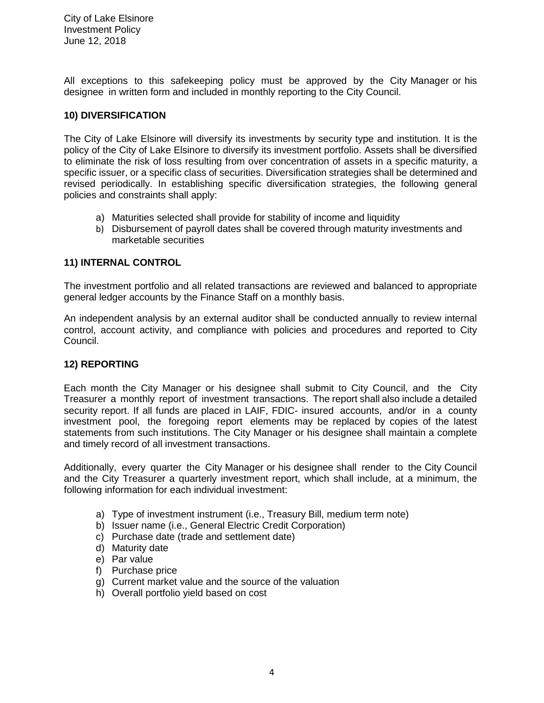All exceptions to this safekeeping policy must be approved by the City Manager or his designee in written form and included in monthly reporting to the City Council.

## **10) DIVERSIFICATION**

The City of Lake Elsinore will diversify its investments by security type and institution. It is the policy of the City of Lake Elsinore to diversify its investment portfolio. Assets shall be diversified to eliminate the risk of loss resulting from over concentration of assets in a specific maturity, a specific issuer, or a specific class of securities. Diversification strategies shall be determined and revised periodically. In establishing specific diversification strategies, the following general policies and constraints shall apply:

- a) Maturities selected shall provide for stability of income and liquidity
- b) Disbursement of payroll dates shall be covered through maturity investments and marketable securities

## **11) INTERNAL CONTROL**

The investment portfolio and all related transactions are reviewed and balanced to appropriate general ledger accounts by the Finance Staff on a monthly basis.

An independent analysis by an external auditor shall be conducted annually to review internal control, account activity, and compliance with policies and procedures and reported to City Council.

## **12) REPORTING**

Each month the City Manager or his designee shall submit to City Council, and the City Treasurer a monthly report of investment transactions. The report shall also include a detailed security report. If all funds are placed in LAIF, FDIC- insured accounts, and/or in a county investment pool, the foregoing report elements may be replaced by copies of the latest statements from such institutions. The City Manager or his designee shall maintain a complete and timely record of all investment transactions.

Additionally, every quarter the City Manager or his designee shall render to the City Council and the City Treasurer a quarterly investment report, which shall include, at a minimum, the following information for each individual investment:

- a) Type of investment instrument (i.e., Treasury Bill, medium term note)
- b) Issuer name (i.e., General Electric Credit Corporation)
- c) Purchase date (trade and settlement date)
- d) Maturity date
- e) Par value
- f) Purchase price
- g) Current market value and the source of the valuation
- h) Overall portfolio yield based on cost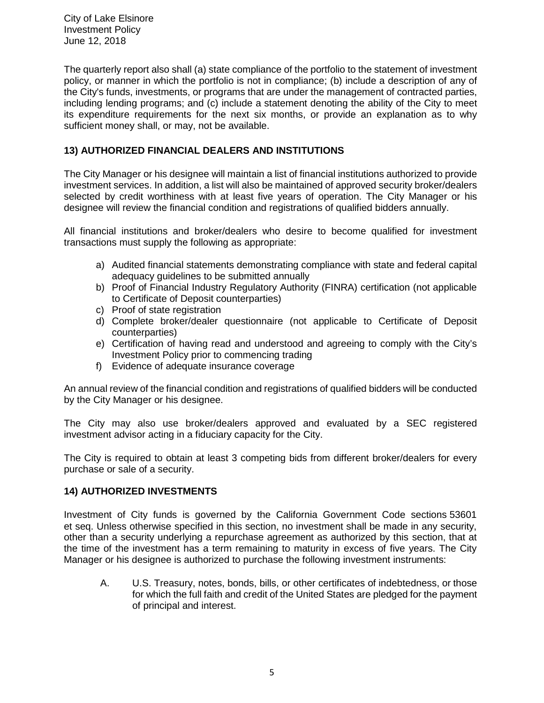The quarterly report also shall (a) state compliance of the portfolio to the statement of investment policy, or manner in which the portfolio is not in compliance; (b) include a description of any of the City's funds, investments, or programs that are under the management of contracted parties, including lending programs; and (c) include a statement denoting the ability of the City to meet its expenditure requirements for the next six months, or provide an explanation as to why sufficient money shall, or may, not be available.

## **13) AUTHORIZED FINANCIAL DEALERS AND INSTITUTIONS**

The City Manager or his designee will maintain a list of financial institutions authorized to provide investment services. In addition, a list will also be maintained of approved security broker/dealers selected by credit worthiness with at least five years of operation. The City Manager or his designee will review the financial condition and registrations of qualified bidders annually.

All financial institutions and broker/dealers who desire to become qualified for investment transactions must supply the following as appropriate:

- a) Audited financial statements demonstrating compliance with state and federal capital adequacy quidelines to be submitted annually
- b) Proof of Financial Industry Regulatory Authority (FINRA) certification (not applicable to Certificate of Deposit counterparties)
- c) Proof of state registration
- d) Complete broker/dealer questionnaire (not applicable to Certificate of Deposit counterparties)
- e) Certification of having read and understood and agreeing to comply with the City's Investment Policy prior to commencing trading
- f) Evidence of adequate insurance coverage

An annual review of the financial condition and registrations of qualified bidders will be conducted by the City Manager or his designee.

The City may also use broker/dealers approved and evaluated by a SEC registered investment advisor acting in a fiduciary capacity for the City.

The City is required to obtain at least 3 competing bids from different broker/dealers for every purchase or sale of a security.

## **14) AUTHORIZED INVESTMENTS**

Investment of City funds is governed by the California Government Code sections 53601 et seq. Unless otherwise specified in this section, no investment shall be made in any security, other than a security underlying a repurchase agreement as authorized by this section, that at the time of the investment has a term remaining to maturity in excess of five years. The City Manager or his designee is authorized to purchase the following investment instruments:

A. U.S. Treasury, notes, bonds, bills, or other certificates of indebtedness, or those for which the full faith and credit of the United States are pledged for the payment of principal and interest.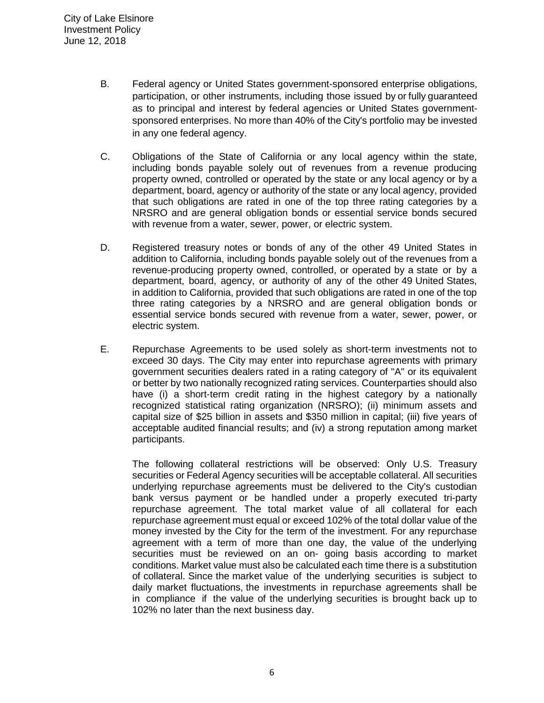- B. Federal agency or United States government-sponsored enterprise obligations, participation, or other instruments, including those issued by or fully guaranteed as to principal and interest by federal agencies or United States governmentsponsored enterprises. No more than 40% of the City's portfolio may be invested in any one federal agency.
- C. Obligations of the State of California or any local agency within the state, including bonds payable solely out of revenues from a revenue producing property owned, controlled or operated by the state or any local agency or by a department, board, agency or authority of the state or any local agency, provided that such obligations are rated in one of the top three rating categories by a NRSRO and are general obligation bonds or essential service bonds secured with revenue from a water, sewer, power, or electric system.
- D. Registered treasury notes or bonds of any of the other 49 United States in addition to California, including bonds payable solely out of the revenues from a revenue-producing property owned, controlled, or operated by a state or by a department, board, agency, or authority of any of the other 49 United States, in addition to California, provided that such obligations are rated in one of the top three rating categories by a NRSRO and are general obligation bonds or essential service bonds secured with revenue from a water, sewer, power, or electric system.
- E. Repurchase Agreements to be used solely as short-term investments not to exceed 30 days. The City may enter into repurchase agreements with primary government securities dealers rated in a rating category of "A" or its equivalent or better by two nationally recognized rating services. Counterparties should also have (i) a short-term credit rating in the highest category by a nationally recognized statistical rating organization (NRSRO); (ii) minimum assets and capital size of \$25 billion in assets and \$350 million in capital; (iii) five years of acceptable audited financial results; and (iv) a strong reputation among market participants.

The following collateral restrictions will be observed: Only U.S. Treasury securities or Federal Agency securities will be acceptable collateral. All securities underlying repurchase agreements must be delivered to the City's custodian bank versus payment or be handled under a properly executed tri-party repurchase agreement. The total market value of all collateral for each repurchase agreement must equal or exceed 102% of the total dollar value of the money invested by the City for the term of the investment. For any repurchase agreement with a term of more than one day, the value of the underlying securities must be reviewed on an on- going basis according to market conditions. Market value must also be calculated each time there is a substitution of collateral. Since the market value of the underlying securities is subject to daily market fluctuations, the investments in repurchase agreements shall be in compliance if the value of the underlying securities is brought back up to 102% no later than the next business day.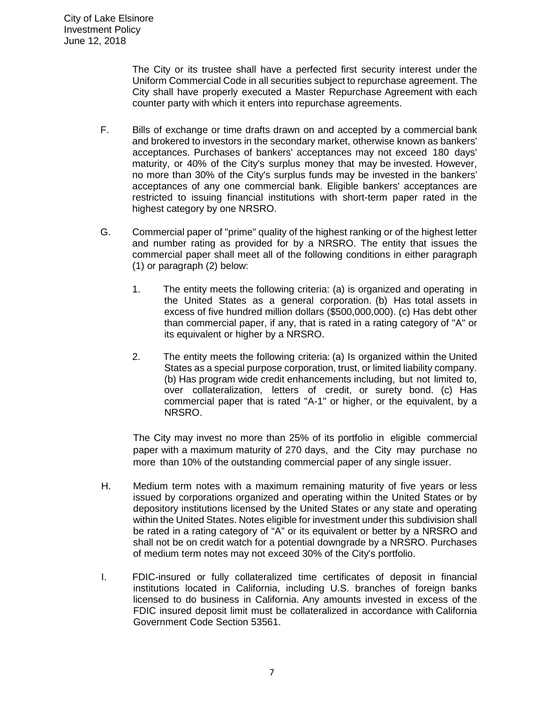The City or its trustee shall have a perfected first security interest under the Uniform Commercial Code in all securities subject to repurchase agreement. The City shall have properly executed a Master Repurchase Agreement with each counter party with which it enters into repurchase agreements.

- F. Bills of exchange or time drafts drawn on and accepted by a commercial bank and brokered to investors in the secondary market, otherwise known as bankers' acceptances. Purchases of bankers' acceptances may not exceed 180 days' maturity, or 40% of the City's surplus money that may be invested. However, no more than 30% of the City's surplus funds may be invested in the bankers' acceptances of any one commercial bank. Eligible bankers' acceptances are restricted to issuing financial institutions with short-term paper rated in the highest category by one NRSRO.
- G. Commercial paper of "prime" quality of the highest ranking or of the highest letter and number rating as provided for by a NRSRO. The entity that issues the commercial paper shall meet all of the following conditions in either paragraph (1) or paragraph (2) below:
	- 1. The entity meets the following criteria: (a) is organized and operating in the United States as a general corporation. (b) Has total assets in excess of five hundred million dollars (\$500,000,000). (c) Has debt other than commercial paper, if any, that is rated in a rating category of "A" or its equivalent or higher by a NRSRO.
	- 2. The entity meets the following criteria: (a) Is organized within the United States as a special purpose corporation, trust, or limited liability company. (b) Has program wide credit enhancements including, but not limited to, over collateralization, letters of credit, or surety bond. (c) Has commercial paper that is rated "A-1" or higher, or the equivalent, by a NRSRO.

The City may invest no more than 25% of its portfolio in eligible commercial paper with a maximum maturity of 270 days, and the City may purchase no more than 10% of the outstanding commercial paper of any single issuer.

- H. Medium term notes with a maximum remaining maturity of five years or less issued by corporations organized and operating within the United States or by depository institutions licensed by the United States or any state and operating within the United States. Notes eligible for investment under this subdivision shall be rated in a rating category of "A" or its equivalent or better by a NRSRO and shall not be on credit watch for a potential downgrade by a NRSRO. Purchases of medium term notes may not exceed 30% of the City's portfolio.
- I. FDIC-insured or fully collateralized time certificates of deposit in financial institutions located in California, including U.S. branches of foreign banks licensed to do business in California. Any amounts invested in excess of the FDIC insured deposit limit must be collateralized in accordance with California Government Code Section 53561.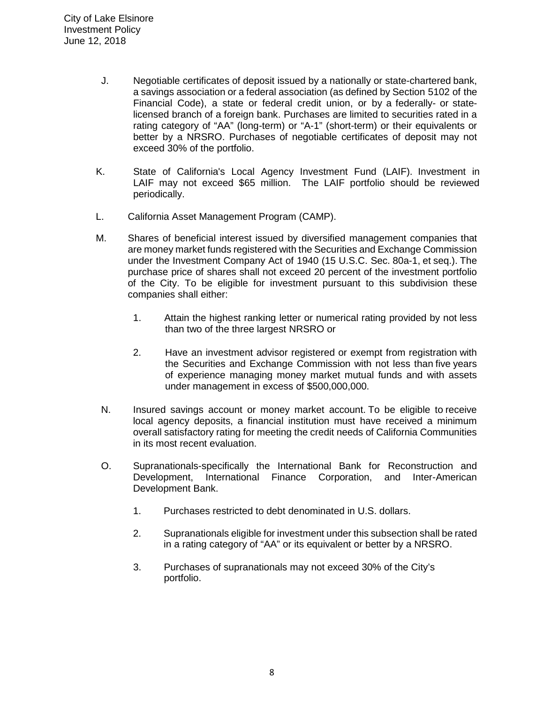- J. Negotiable certificates of deposit issued by a nationally or state-chartered bank, a savings association or a federal association (as defined by Section 5102 of the Financial Code), a state or federal credit union, or by a federally- or statelicensed branch of a foreign bank. Purchases are limited to securities rated in a rating category of "AA" (long-term) or "A-1" (short-term) or their equivalents or better by a NRSRO. Purchases of negotiable certificates of deposit may not exceed 30% of the portfolio.
- K. State of California's Local Agency Investment Fund (LAIF). Investment in LAIF may not exceed \$65 million. The LAIF portfolio should be reviewed periodically.
- L. California Asset Management Program (CAMP).
- M. Shares of beneficial interest issued by diversified management companies that are money market funds registered with the Securities and Exchange Commission under the Investment Company Act of 1940 (15 U.S.C. Sec. 80a-1, et seq.). The purchase price of shares shall not exceed 20 percent of the investment portfolio of the City. To be eligible for investment pursuant to this subdivision these companies shall either:
	- 1. Attain the highest ranking letter or numerical rating provided by not less than two of the three largest NRSRO or
	- 2. Have an investment advisor registered or exempt from registration with the Securities and Exchange Commission with not less than five years of experience managing money market mutual funds and with assets under management in excess of \$500,000,000.
- N. Insured savings account or money market account. To be eligible to receive local agency deposits, a financial institution must have received a minimum overall satisfactory rating for meeting the credit needs of California Communities in its most recent evaluation.
- O. Supranationals-specifically the International Bank for Reconstruction and Development, International Finance Corporation, and Inter-American Development Bank.
	- 1. Purchases restricted to debt denominated in U.S. dollars.
	- 2. Supranationals eligible for investment under this subsection shall be rated in a rating category of "AA" or its equivalent or better by a NRSRO.
	- 3. Purchases of supranationals may not exceed 30% of the City's portfolio.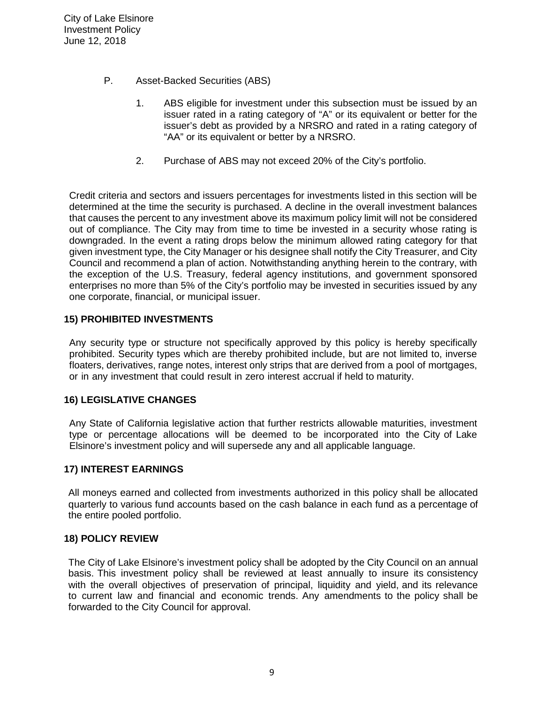- P. Asset-Backed Securities (ABS)
	- 1. ABS eligible for investment under this subsection must be issued by an issuer rated in a rating category of "A" or its equivalent or better for the issuer's debt as provided by a NRSRO and rated in a rating category of "AA" or its equivalent or better by a NRSRO.
	- 2. Purchase of ABS may not exceed 20% of the City's portfolio.

Credit criteria and sectors and issuers percentages for investments listed in this section will be determined at the time the security is purchased. A decline in the overall investment balances that causes the percent to any investment above its maximum policy limit will not be considered out of compliance. The City may from time to time be invested in a security whose rating is downgraded. In the event a rating drops below the minimum allowed rating category for that given investment type, the City Manager or his designee shall notify the City Treasurer, and City Council and recommend a plan of action. Notwithstanding anything herein to the contrary, with the exception of the U.S. Treasury, federal agency institutions, and government sponsored enterprises no more than 5% of the City's portfolio may be invested in securities issued by any one corporate, financial, or municipal issuer.

## **15) PROHIBITED INVESTMENTS**

Any security type or structure not specifically approved by this policy is hereby specifically prohibited. Security types which are thereby prohibited include, but are not limited to, inverse floaters, derivatives, range notes, interest only strips that are derived from a pool of mortgages, or in any investment that could result in zero interest accrual if held to maturity.

## **16) LEGISLATIVE CHANGES**

Any State of California legislative action that further restricts allowable maturities, investment type or percentage allocations will be deemed to be incorporated into the City of Lake Elsinore's investment policy and will supersede any and all applicable language.

## **17) INTEREST EARNINGS**

All moneys earned and collected from investments authorized in this policy shall be allocated quarterly to various fund accounts based on the cash balance in each fund as a percentage of the entire pooled portfolio.

## **18) POLICY REVIEW**

The City of Lake Elsinore's investment policy shall be adopted by the City Council on an annual basis. This investment policy shall be reviewed at least annually to insure its consistency with the overall objectives of preservation of principal, liquidity and yield, and its relevance to current law and financial and economic trends. Any amendments to the policy shall be forwarded to the City Council for approval.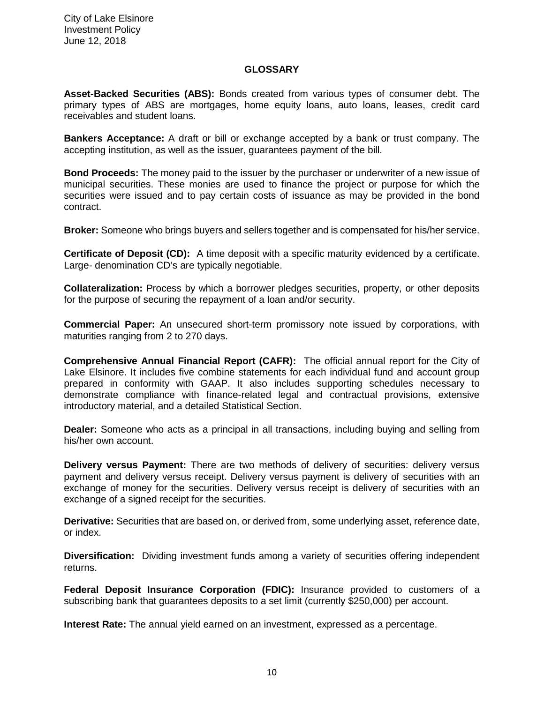#### **GLOSSARY**

**Asset-Backed Securities (ABS):** Bonds created from various types of consumer debt. The primary types of ABS are mortgages, home equity loans, auto loans, leases, credit card receivables and student loans.

**Bankers Acceptance:** A draft or bill or exchange accepted by a bank or trust company. The accepting institution, as well as the issuer, guarantees payment of the bill.

**Bond Proceeds:** The money paid to the issuer by the purchaser or underwriter of a new issue of municipal securities. These monies are used to finance the project or purpose for which the securities were issued and to pay certain costs of issuance as may be provided in the bond contract.

**Broker:** Someone who brings buyers and sellers together and is compensated for his/her service.

**Certificate of Deposit (CD):** A time deposit with a specific maturity evidenced by a certificate. Large- denomination CD's are typically negotiable.

**Collateralization:** Process by which a borrower pledges securities, property, or other deposits for the purpose of securing the repayment of a loan and/or security.

**Commercial Paper:** An unsecured short-term promissory note issued by corporations, with maturities ranging from 2 to 270 days.

**Comprehensive Annual Financial Report (CAFR):** The official annual report for the City of Lake Elsinore. It includes five combine statements for each individual fund and account group prepared in conformity with GAAP. It also includes supporting schedules necessary to demonstrate compliance with finance-related legal and contractual provisions, extensive introductory material, and a detailed Statistical Section.

**Dealer:** Someone who acts as a principal in all transactions, including buying and selling from his/her own account.

**Delivery versus Payment:** There are two methods of delivery of securities: delivery versus payment and delivery versus receipt. Delivery versus payment is delivery of securities with an exchange of money for the securities. Delivery versus receipt is delivery of securities with an exchange of a signed receipt for the securities.

**Derivative:** Securities that are based on, or derived from, some underlying asset, reference date, or index.

**Diversification:** Dividing investment funds among a variety of securities offering independent returns.

**Federal Deposit Insurance Corporation (FDIC):** Insurance provided to customers of a subscribing bank that guarantees deposits to a set limit (currently \$250,000) per account.

**Interest Rate:** The annual yield earned on an investment, expressed as a percentage.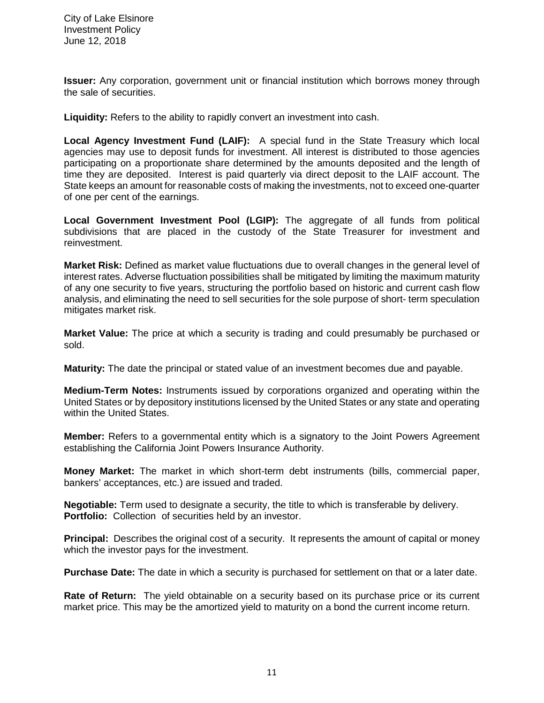**Issuer:** Any corporation, government unit or financial institution which borrows money through the sale of securities.

**Liquidity:** Refers to the ability to rapidly convert an investment into cash.

**Local Agency Investment Fund (LAIF):** A special fund in the State Treasury which local agencies may use to deposit funds for investment. All interest is distributed to those agencies participating on a proportionate share determined by the amounts deposited and the length of time they are deposited. Interest is paid quarterly via direct deposit to the LAIF account. The State keeps an amount for reasonable costs of making the investments, not to exceed one-quarter of one per cent of the earnings.

**Local Government Investment Pool (LGIP):** The aggregate of all funds from political subdivisions that are placed in the custody of the State Treasurer for investment and reinvestment.

**Market Risk:** Defined as market value fluctuations due to overall changes in the general level of interest rates. Adverse fluctuation possibilities shall be mitigated by limiting the maximum maturity of any one security to five years, structuring the portfolio based on historic and current cash flow analysis, and eliminating the need to sell securities for the sole purpose of short- term speculation mitigates market risk.

**Market Value:** The price at which a security is trading and could presumably be purchased or sold.

**Maturity:** The date the principal or stated value of an investment becomes due and payable.

**Medium-Term Notes:** Instruments issued by corporations organized and operating within the United States or by depository institutions licensed by the United States or any state and operating within the United States.

**Member:** Refers to a governmental entity which is a signatory to the Joint Powers Agreement establishing the California Joint Powers Insurance Authority.

**Money Market:** The market in which short-term debt instruments (bills, commercial paper, bankers' acceptances, etc.) are issued and traded.

**Negotiable:** Term used to designate a security, the title to which is transferable by delivery. **Portfolio:** Collection of securities held by an investor.

**Principal:** Describes the original cost of a security. It represents the amount of capital or money which the investor pays for the investment.

**Purchase Date:** The date in which a security is purchased for settlement on that or a later date.

**Rate of Return:** The yield obtainable on a security based on its purchase price or its current market price. This may be the amortized yield to maturity on a bond the current income return.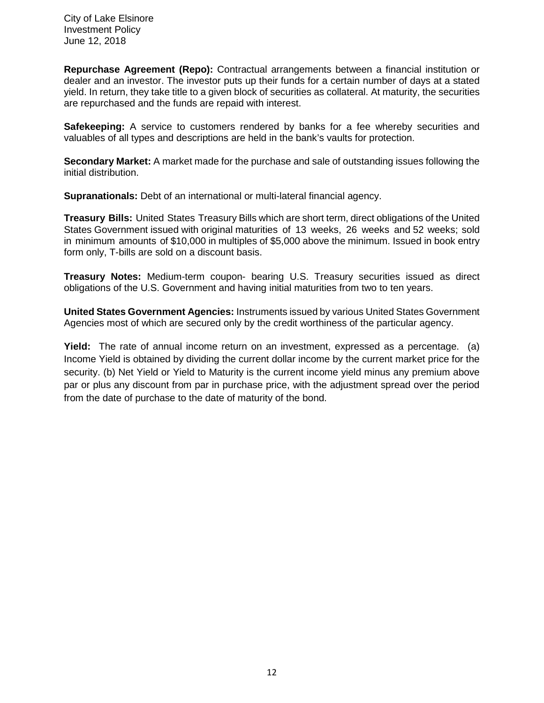**Repurchase Agreement (Repo):** Contractual arrangements between a financial institution or dealer and an investor. The investor puts up their funds for a certain number of days at a stated yield. In return, they take title to a given block of securities as collateral. At maturity, the securities are repurchased and the funds are repaid with interest.

**Safekeeping:** A service to customers rendered by banks for a fee whereby securities and valuables of all types and descriptions are held in the bank's vaults for protection.

**Secondary Market:** A market made for the purchase and sale of outstanding issues following the initial distribution.

**Supranationals:** Debt of an international or multi-lateral financial agency.

**Treasury Bills:** United States Treasury Bills which are short term, direct obligations of the United States Government issued with original maturities of 13 weeks, 26 weeks and 52 weeks; sold in minimum amounts of \$10,000 in multiples of \$5,000 above the minimum. Issued in book entry form only, T-bills are sold on a discount basis.

**Treasury Notes:** Medium-term coupon- bearing U.S. Treasury securities issued as direct obligations of the U.S. Government and having initial maturities from two to ten years.

**United States Government Agencies:** Instruments issued by various United States Government Agencies most of which are secured only by the credit worthiness of the particular agency.

**Yield:** The rate of annual income return on an investment, expressed as a percentage. (a) Income Yield is obtained by dividing the current dollar income by the current market price for the security. (b) Net Yield or Yield to Maturity is the current income yield minus any premium above par or plus any discount from par in purchase price, with the adjustment spread over the period from the date of purchase to the date of maturity of the bond.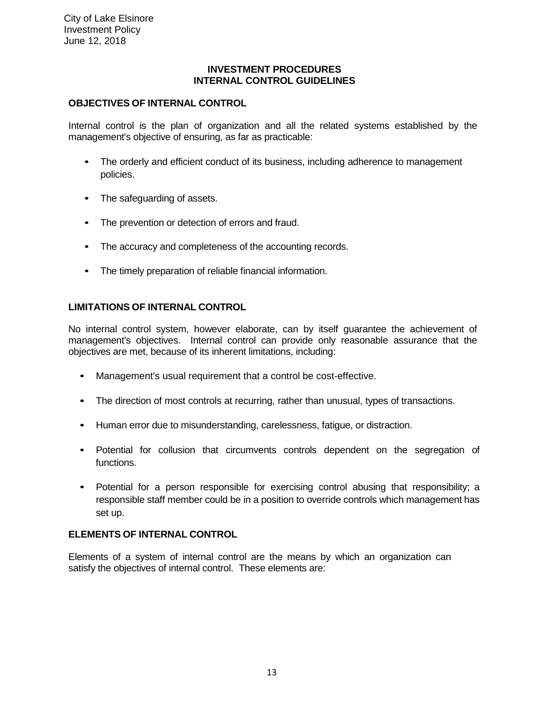#### **INVESTMENT PROCEDURES INTERNAL CONTROL GUIDELINES**

## **OBJECTIVES OF INTERNAL CONTROL**

Internal control is the plan of organization and all the related systems established by the management's objective of ensuring, as far as practicable:

- The orderly and efficient conduct of its business, including adherence to management policies.
- The safeguarding of assets.
- The prevention or detection of errors and fraud.
- The accuracy and completeness of the accounting records.
- The timely preparation of reliable financial information.

## **LIMITATIONS OF INTERNAL CONTROL**

No internal control system, however elaborate, can by itself guarantee the achievement of management's objectives. Internal control can provide only reasonable assurance that the objectives are met, because of its inherent limitations, including:

- Management's usual requirement that a control be cost-effective.
- The direction of most controls at recurring, rather than unusual, types of transactions.
- Human error due to misunderstanding, carelessness, fatigue, or distraction.
- Potential for collusion that circumvents controls dependent on the segregation of functions.
- Potential for a person responsible for exercising control abusing that responsibility; a responsible staff member could be in a position to override controls which management has set up.

## **ELEMENTS OF INTERNAL CONTROL**

Elements of a system of internal control are the means by which an organization can satisfy the objectives of internal control. These elements are: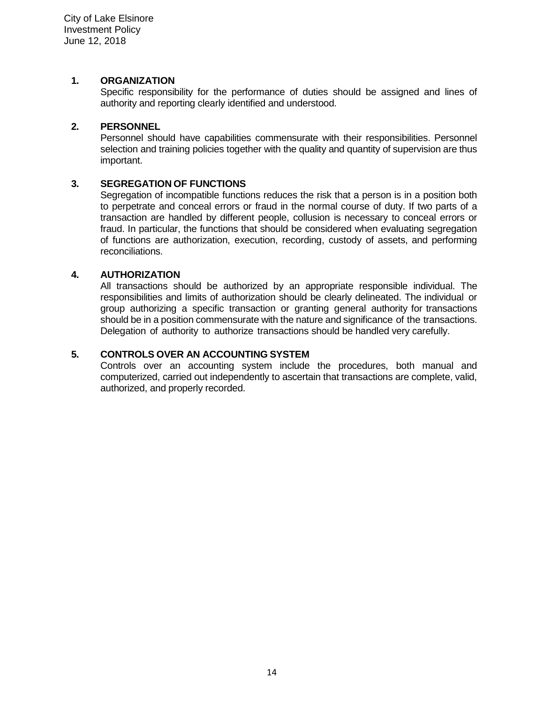#### **1. ORGANIZATION**

Specific responsibility for the performance of duties should be assigned and lines of authority and reporting clearly identified and understood.

## **2. PERSONNEL**

Personnel should have capabilities commensurate with their responsibilities. Personnel selection and training policies together with the quality and quantity of supervision are thus important.

## **3. SEGREGATION OF FUNCTIONS**

Segregation of incompatible functions reduces the risk that a person is in a position both to perpetrate and conceal errors or fraud in the normal course of duty. If two parts of a transaction are handled by different people, collusion is necessary to conceal errors or fraud. In particular, the functions that should be considered when evaluating segregation of functions are authorization, execution, recording, custody of assets, and performing reconciliations.

#### **4. AUTHORIZATION**

All transactions should be authorized by an appropriate responsible individual. The responsibilities and limits of authorization should be clearly delineated. The individual or group authorizing a specific transaction or granting general authority for transactions should be in a position commensurate with the nature and significance of the transactions. Delegation of authority to authorize transactions should be handled very carefully.

#### **5. CONTROLS OVER AN ACCOUNTING SYSTEM**

Controls over an accounting system include the procedures, both manual and computerized, carried out independently to ascertain that transactions are complete, valid, authorized, and properly recorded.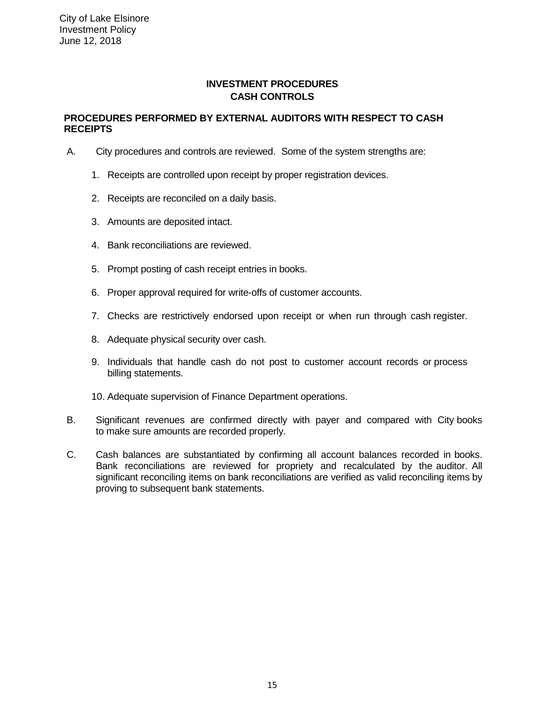## **INVESTMENT PROCEDURES CASH CONTROLS**

#### **PROCEDURES PERFORMED BY EXTERNAL AUDITORS WITH RESPECT TO CASH RECEIPTS**

- A. City procedures and controls are reviewed. Some of the system strengths are:
	- 1. Receipts are controlled upon receipt by proper registration devices.
	- 2. Receipts are reconciled on a daily basis.
	- 3. Amounts are deposited intact.
	- 4. Bank reconciliations are reviewed.
	- 5. Prompt posting of cash receipt entries in books.
	- 6. Proper approval required for write-offs of customer accounts.
	- 7. Checks are restrictively endorsed upon receipt or when run through cash register.
	- 8. Adequate physical security over cash.
	- 9. Individuals that handle cash do not post to customer account records or process billing statements.
	- 10. Adequate supervision of Finance Department operations.
- B. Significant revenues are confirmed directly with payer and compared with City books to make sure amounts are recorded properly.
- C. Cash balances are substantiated by confirming all account balances recorded in books. Bank reconciliations are reviewed for propriety and recalculated by the auditor. All significant reconciling items on bank reconciliations are verified as valid reconciling items by proving to subsequent bank statements.